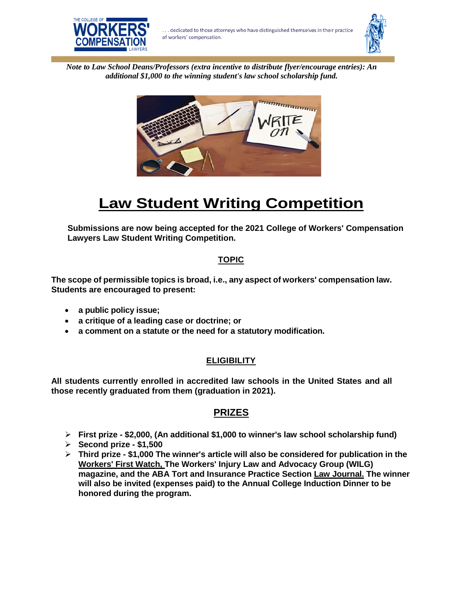



*Note to Law School Deans/Professors (extra incentive to distribute flyer/encourage entries): An additional \$1,000 to the winning student's law school scholarship fund.*



# **Law Student Writing Competition**

**Submissions are now being accepted for the 2021 College of Workers' Compensation Lawyers Law Student Writing Competition.**

## **TOPIC**

**The scope of permissible topics is broad, i.e., any aspect of workers' compensation law. Students are encouraged to present:**

- **a public policy issue;**
- **a critique of a leading case or doctrine; or**
- **a comment on a statute or the need for a statutory modification.**

#### **ELIGIBILITY**

**All students currently enrolled in accredited law schools in the United States and all those recently graduated from them (graduation in 2021).**

## **PRIZES**

- ➢ **First prize - \$2,000, (An additional \$1,000 to winner's law school scholarship fund)**
- ➢ **Second prize - \$1,500**
- ➢ **Third prize - \$1,000 The winner's article will also be considered for publication in the Workers' First Watch, The Workers' Injury Law and Advocacy Group (WILG) magazine, and the ABA Tort and Insurance Practice Section Law Journal. The winner will also be invited (expenses paid) to the Annual College Induction Dinner to be honored during the program.**